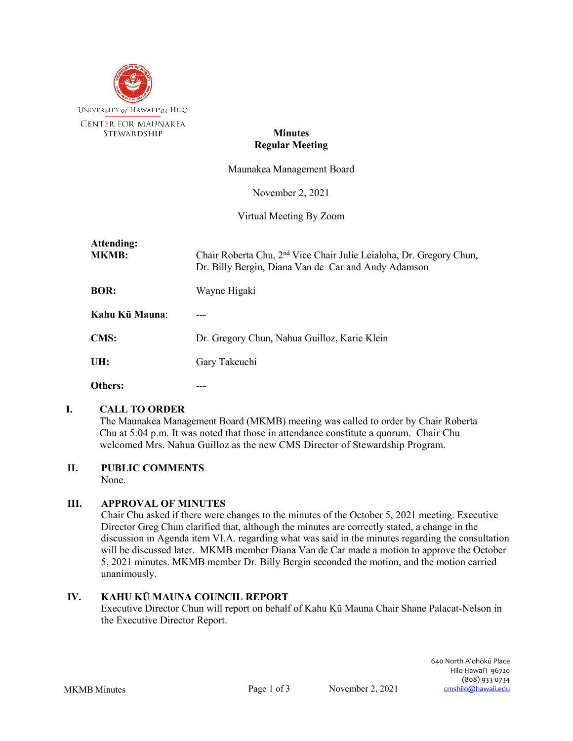

#### **Minutes Regular Meeting**

Maunakea Management Board

November 2, 2021

Virtual Meeting By Zoom

| Attending:<br><b>MKMB:</b> | Chair Roberta Chu, 2 <sup>nd</sup> Vice Chair Julie Leialoha, Dr. Gregory Chun,<br>Dr. Billy Bergin, Diana Van de Car and Andy Adamson |
|----------------------------|----------------------------------------------------------------------------------------------------------------------------------------|
| <b>BOR:</b>                | Wayne Higaki                                                                                                                           |
| Kahu Kū Mauna:             |                                                                                                                                        |
| <b>CMS:</b>                | Dr. Gregory Chun, Nahua Guilloz, Karie Klein                                                                                           |
| UH:                        | Gary Takeuchi                                                                                                                          |
| Others:                    |                                                                                                                                        |

#### **I. CALL TO ORDER**

The Maunakea Management Board (MKMB) meeting was called to order by Chair Roberta Chu at 5:04 p.m. It was noted that those in attendance constitute a quorum. Chair Chu welcomed Mrs. Nahua Guilloz as the new CMS Director of Stewardship Program.

## **II. PUBLIC COMMENTS**

None.

## **III. APPROVAL OF MINUTES**

Chair Chu asked if there were changes to the minutes of the October 5, 2021 meeting. Executive Director Greg Chun clarified that, although the minutes are correctly stated, a change in the discussion in Agenda item VI.A. regarding what was said in the minutes regarding the consultation will be discussed later. MKMB member Diana Van de Car made a motion to approve the October 5, 2021 minutes. MKMB member Dr. Billy Bergin seconded the motion, and the motion carried unanimously.

## **IV. KAHU KŪ MAUNA COUNCIL REPORT**

Executive Director Chun will report on behalf of Kahu Kū Mauna Chair Shane Palacat-Nelson in the Executive Director Report.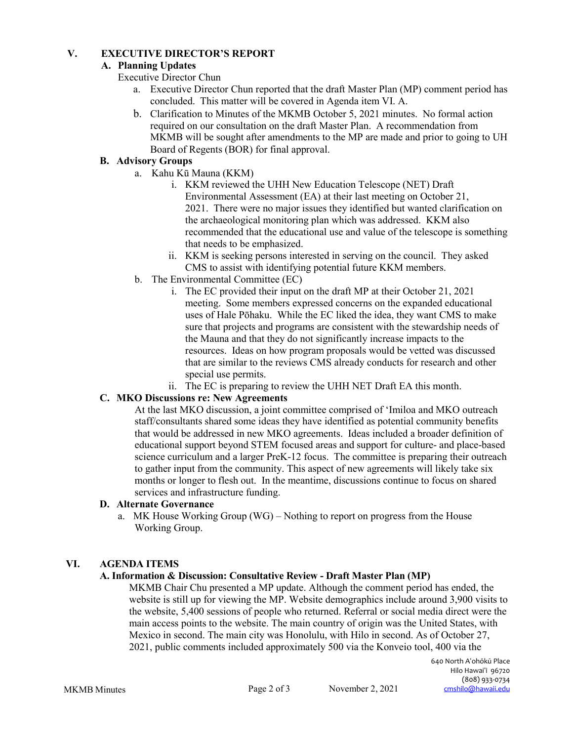## **V. EXECUTIVE DIRECTOR'S REPORT**

# **A. Planning Updates**

Executive Director Chun

- a. Executive Director Chun reported that the draft Master Plan (MP) comment period has concluded. This matter will be covered in Agenda item VI. A.
- b. Clarification to Minutes of the MKMB October 5, 2021 minutes. No formal action required on our consultation on the draft Master Plan. A recommendation from MKMB will be sought after amendments to the MP are made and prior to going to UH Board of Regents (BOR) for final approval.

# **B. Advisory Groups**

- a. Kahu Kū Mauna (KKM)
	- i. KKM reviewed the UHH New Education Telescope (NET) Draft Environmental Assessment (EA) at their last meeting on October 21, 2021. There were no major issues they identified but wanted clarification on the archaeological monitoring plan which was addressed. KKM also recommended that the educational use and value of the telescope is something that needs to be emphasized.
	- ii. KKM is seeking persons interested in serving on the council. They asked CMS to assist with identifying potential future KKM members.
- b. The Environmental Committee (EC)
	- i. The EC provided their input on the draft MP at their October 21, 2021 meeting. Some members expressed concerns on the expanded educational uses of Hale Pōhaku. While the EC liked the idea, they want CMS to make sure that projects and programs are consistent with the stewardship needs of the Mauna and that they do not significantly increase impacts to the resources. Ideas on how program proposals would be vetted was discussed that are similar to the reviews CMS already conducts for research and other special use permits.
	- ii. The EC is preparing to review the UHH NET Draft EA this month.

## **C. MKO Discussions re: New Agreements**

At the last MKO discussion, a joint committee comprised of 'Imiloa and MKO outreach staff/consultants shared some ideas they have identified as potential community benefits that would be addressed in new MKO agreements. Ideas included a broader definition of educational support beyond STEM focused areas and support for culture- and place-based science curriculum and a larger PreK-12 focus. The committee is preparing their outreach to gather input from the community. This aspect of new agreements will likely take six months or longer to flesh out. In the meantime, discussions continue to focus on shared services and infrastructure funding.

#### **D. Alternate Governance**

a. MK House Working Group (WG) – Nothing to report on progress from the House Working Group.

#### **VI. AGENDA ITEMS**

## **A. Information & Discussion: Consultative Review - Draft Master Plan (MP)**

MKMB Chair Chu presented a MP update. Although the comment period has ended, the website is still up for viewing the MP. Website demographics include around 3,900 visits to the website, 5,400 sessions of people who returned. Referral or social media direct were the main access points to the website. The main country of origin was the United States, with Mexico in second. The main city was Honolulu, with Hilo in second. As of October 27, 2021, public comments included approximately 500 via the Konveio tool, 400 via the